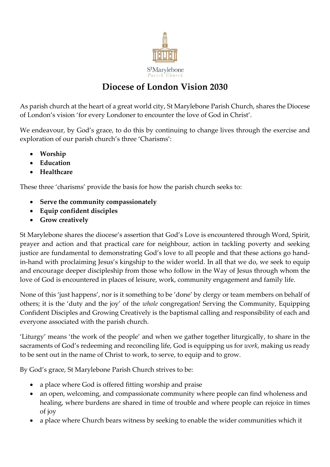

# **Diocese of London Vision 2030**

As parish church at the heart of a great world city, St Marylebone Parish Church, shares the Diocese of London's vision ['for every Londoner to encounter the love of God in Christ'.](https://www.london.anglican.org/our-2030-vision/)

We endeavour, by God's grace, to do this by continuing to change lives through the exercise and exploration of our parish church's three 'Charisms':

- **Worship**
- **Education**
- **Healthcare**

These three 'charisms' provide the basis for how the parish church seeks to:

- **Serve the community compassionately**
- **Equip confident disciples**
- **Grow creatively**

St Marylebone shares the diocese's assertion that God's Love is encountered through Word, Spirit, prayer and action and that practical care for neighbour, action in tackling poverty and seeking justice are fundamental to demonstrating God's love to all people and that these actions go handin-hand with proclaiming Jesus's kingship to the wider world. In all that we do, we seek to equip and encourage deeper discipleship from those who follow in the Way of Jesus through whom the love of God is encountered in places of leisure, work, community engagement and family life.

None of this 'just happens', nor is it something to be 'done' by clergy or team members on behalf of others; it is the 'duty and the joy' of the *whole* congregation! Serving the Community, Equipping Confident Disciples and Growing Creatively is the baptismal calling and responsibility of each and everyone associated with the parish church.

'Liturgy' means 'the work of the people' and when we gather together liturgically, to share in the sacraments of God's redeeming and reconciling life, God is equipping us for *work*, making us ready to be sent out in the name of Christ to work, to serve, to equip and to grow.

By God's grace, St Marylebone Parish Church strives to be:

- a place where God is offered fitting worship and praise
- an open, welcoming, and compassionate community where people can find wholeness and healing, where burdens are shared in time of trouble and where people can rejoice in times of joy
- a place where Church bears witness by seeking to enable the wider communities which it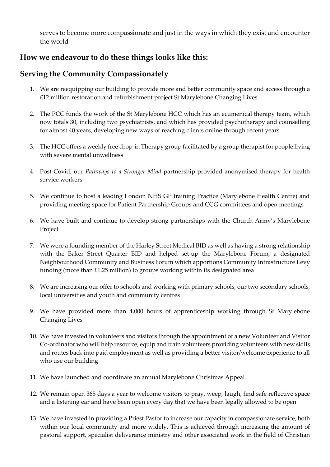serves to become more compassionate and just in the ways in which they exist and encounter the world

### **How we endeavour to do these things looks like this:**

### **Serving the Community Compassionately**

- 1. We are reequipping our building to provide more and better community space and access through a £12 million restoration and refurbishment project St Marylebone Changing Lives
- 2. The PCC funds the work of the St Marylebone HCC which has an ecumenical therapy team, which now totals 30, including two psychiatrists, and which has provided psychotherapy and counselling for almost 40 years, developing new ways of reaching clients online through recent years
- 3. The HCC offers a weekly free drop-in Therapy group facilitated by a group therapist for people living with severe mental unwellness
- 4. Post-Covid, our *Pathways to a Stronger Mind* partnership provided anonymised therapy for health service workers
- 5. We continue to host a leading London NHS GP training Practice (Marylebone Health Centre) and providing meeting space for Patient Partnership Groups and CCG committees and open meetings
- 6. We have built and continue to develop strong partnerships with the Church Army's Marylebone Project
- 7. We were a founding member of the Harley Street Medical BID as well as having a strong relationship with the Baker Street Quarter BID and helped set-up the Marylebone Forum, a designated Neighbourhood Community and Business Forum which apportions Community Infrastructure Levy funding (more than £1.25 million) to groups working within its designated area
- 8. We are increasing our offer to schools and working with primary schools, our two secondary schools, local universities and youth and community centres
- 9. We have provided more than 4,000 hours of apprenticeship working through St Marylebone Changing Lives
- 10. We have invested in volunteers and visitors through the appointment of a new Volunteer and Visitor Co-ordinator who will help resource, equip and train volunteers providing volunteers with new skills and routes back into paid employment as well as providing a better visitor/welcome experience to all who use our building
- 11. We have launched and coordinate an annual Marylebone Christmas Appeal
- 12. We remain open 365 days a year to welcome visitors to pray, weep, laugh, find safe reflective space and a listening ear and have been open every day that we have been legally allowed to be open
- 13. We have invested in providing a Priest Pastor to increase our capacity in compassionate service, both within our local community and more widely. This is achieved through increasing the amount of pastoral support, specialist deliverance ministry and other associated work in the field of Christian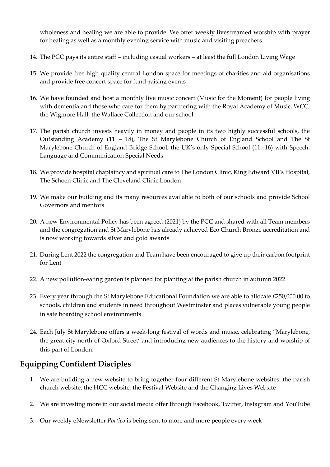wholeness and healing we are able to provide. We offer weekly livestreamed worship with prayer for healing as well as a monthly evening service with music and visiting preachers.

- 14. The PCC pays its entire staff including casual workers at least the full London Living Wage
- 15. We provide free high quality central London space for meetings of charities and aid organisations and provide free concert space for fund-raising events
- 16. We have founded and host a monthly live music concert (Music for the Moment) for people living with dementia and those who care for them by partnering with the Royal Academy of Music, WCC, the Wigmore Hall, the Wallace Collection and our school
- 17. The parish church invests heavily in money and people in its two highly successful schools, the Outstanding Academy (11 – 18), The St Marylebone Church of England School and The St Marylebone Church of England Bridge School, the UK's only Special School (11 -16) with Speech, Language and Communication Special Needs
- 18. We provide hospital chaplaincy and spiritual care to The London Clinic, King Edward VII's Hospital, The Schoen Clinic and The Cleveland Clinic London
- 19. We make our building and its many resources available to both of our schools and provide School Governors and mentors
- 20. A new Environmental Policy has been agreed (2021) by the PCC and shared with all Team members and the congregation and St Marylebone has already achieved Eco Church Bronze accreditation and is now working towards silver and gold awards
- 21. During Lent 2022 the congregation and Team have been encouraged to give up their carbon footprint for Lent
- 22. A new pollution-eating garden is planned for planting at the parish church in autumn 2022
- 23. Every year through the St Marylebone Educational Foundation we are able to allocate £250,000.00 to schools, children and students in need throughout Westminster and places vulnerable young people in safe boarding school environments
- 24. Each July St Marylebone offers a week-long festival of words and music, celebrating "Marylebone, the great city north of Oxford Street' and introducing new audiences to the history and worship of this part of London.

## **Equipping Confident Disciples**

- 1. We are building a new website to bring together four different St Marylebone websites: the parish church website, the HCC website, the Festival Website and the Changing Lives Website
- 2. We are investing more in our social media offer through Facebook, Twitter, Instagram and YouTube
- 3. Our weekly eNewsletter *Portico* is being sent to more and more people every week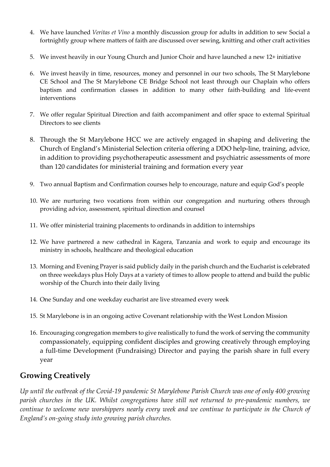- 4. We have launched *Veritas et Vino* a monthly discussion group for adults in addition to sew Social a fortnightly group where matters of faith are discussed over sewing, knitting and other craft activities
- 5. We invest heavily in our Young Church and Junior Choir and have launched a new 12+ initiative
- 6. We invest heavily in time, resources, money and personnel in our two schools, The St Marylebone CE School and The St Marylebone CE Bridge School not least through our Chaplain who offers baptism and confirmation classes in addition to many other faith-building and life-event interventions
- 7. We offer regular Spiritual Direction and faith accompaniment and offer space to external Spiritual Directors to see clients
- 8. Through the St Marylebone HCC we are actively engaged in shaping and delivering the Church of England's Ministerial Selection criteria offering a DDO help-line, training, advice, in addition to providing psychotherapeutic assessment and psychiatric assessments of more than 120 candidates for ministerial training and formation every year
- 9. Two annual Baptism and Confirmation courses help to encourage, nature and equip God's people
- 10. We are nurturing two vocations from within our congregation and nurturing others through providing advice, assessment, spiritual direction and counsel
- 11. We offer ministerial training placements to ordinands in addition to internships
- 12. We have partnered a new cathedral in Kagera, Tanzania and work to equip and encourage its ministry in schools, healthcare and theological education
- 13. Morning and Evening Prayer is said publicly daily in the parish church and the Eucharist is celebrated on three weekdays plus Holy Days at a variety of times to allow people to attend and build the public worship of the Church into their daily living
- 14. One Sunday and one weekday eucharist are live streamed every week
- 15. St Marylebone is in an ongoing active Covenant relationship with the West London Mission
- 16. Encouraging congregation members to give realistically to fund the work of serving the community compassionately, equipping confident disciples and growing creatively through employing a full-time Development (Fundraising) Director and paying the parish share in full every year

#### **Growing Creatively**

*Up until the outbreak of the Covid-19 pandemic St Marylebone Parish Church was one of only 400 growing parish churches in the UK. Whilst congregations have still not returned to pre-pandemic numbers, we continue to welcome new worshippers nearly every week and we continue to participate in the Church of England's on-going study into growing parish churches.*